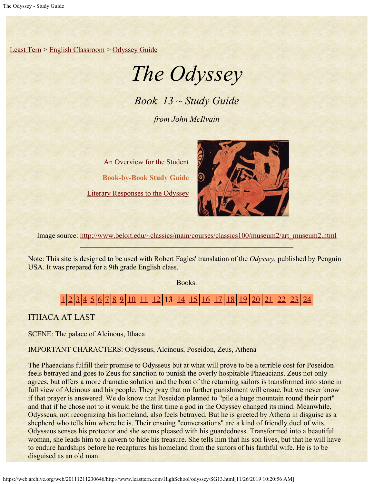[Least Tern](https://web.archive.org/web/20111211230646/http://www.leasttern.com/index.html) > [English Classroom](https://web.archive.org/web/20111211230646/http://www.leasttern.com/Engclass.html) > [Odyssey Guide](https://web.archive.org/web/20111211230646/http://www.leasttern.com/HighSchool/odyssey/Odyssey.html)

# *The Odyssey*

*Book 13 ~ Study Guide*

*from John McIlvain*

[An Overview for the Student](https://web.archive.org/web/20111211230646/http://www.leasttern.com/HighSchool/odyssey/Odyssey1.html) **Book-by-Book Study Guide** [Literary Responses to the Odyssey](https://web.archive.org/web/20111211230646/http://www.leasttern.com/HighSchool/odyssey/Odysseyresponses.html)



Image source: [http://www.beloit.edu/~classics/main/courses/classics100/museum2/art\\_museum2.html](https://web.archive.org/web/20111211230646/http://www.beloit.edu/%7Eclassics/main/courses/classics100/museum2/art_museum2.html)

Note: This site is designed to be used with Robert Fagles' translation of the *Odyssey*, published by Penguin USA. It was prepared for a 9th grade English class.

Books:

# [1](https://web.archive.org/web/20111211230646/http://www.leasttern.com/HighSchool/odyssey/SG1.html) [2](https://web.archive.org/web/20111211230646/http://www.leasttern.com/HighSchool/odyssey/SG2.html) [3](https://web.archive.org/web/20111211230646/http://www.leasttern.com/HighSchool/odyssey/SG3.html) [4](https://web.archive.org/web/20111211230646/http://www.leasttern.com/HighSchool/odyssey/SG4.html) [5](https://web.archive.org/web/20111211230646/http://www.leasttern.com/HighSchool/odyssey/SG5.html) [6](https://web.archive.org/web/20111211230646/http://www.leasttern.com/HighSchool/odyssey/SG6.html) [7](https://web.archive.org/web/20111211230646/http://www.leasttern.com/HighSchool/odyssey/SG7.html) [8](https://web.archive.org/web/20111211230646/http://www.leasttern.com/HighSchool/odyssey/SG8.html) [9](https://web.archive.org/web/20111211230646/http://www.leasttern.com/HighSchool/odyssey/SG9.html) [10](https://web.archive.org/web/20111211230646/http://www.leasttern.com/HighSchool/odyssey/SG10.html) [11](https://web.archive.org/web/20111211230646/http://www.leasttern.com/HighSchool/odyssey/SG11.html) [12](https://web.archive.org/web/20111211230646/http://www.leasttern.com/HighSchool/odyssey/SG12.html) **13** [14](https://web.archive.org/web/20111211230646/http://www.leasttern.com/HighSchool/odyssey/SG14.html) [15](https://web.archive.org/web/20111211230646/http://www.leasttern.com/HighSchool/odyssey/SG15.html) [16](https://web.archive.org/web/20111211230646/http://www.leasttern.com/HighSchool/odyssey/SG16.html) [17](https://web.archive.org/web/20111211230646/http://www.leasttern.com/HighSchool/odyssey/SG17.html) [18](https://web.archive.org/web/20111211230646/http://www.leasttern.com/HighSchool/odyssey/SG18.html) [19](https://web.archive.org/web/20111211230646/http://www.leasttern.com/HighSchool/odyssey/SG19.html) [20](https://web.archive.org/web/20111211230646/http://www.leasttern.com/HighSchool/odyssey/SG20.html) [21](https://web.archive.org/web/20111211230646/http://www.leasttern.com/HighSchool/odyssey/SG21.html) [22](https://web.archive.org/web/20111211230646/http://www.leasttern.com/HighSchool/odyssey/SG22.html) [23](https://web.archive.org/web/20111211230646/http://www.leasttern.com/HighSchool/odyssey/SG23.html) [24](https://web.archive.org/web/20111211230646/http://www.leasttern.com/HighSchool/odyssey/SG24.html)

ITHACA AT LAST

SCENE: The palace of Alcinous, Ithaca

IMPORTANT CHARACTERS: Odysseus, Alcinous, Poseidon, Zeus, Athena

The Phaeacians fulfill their promise to Odysseus but at what will prove to be a terrible cost for Poseidon feels betrayed and goes to Zeus for sanction to punish the overly hospitable Phaeacians. Zeus not only agrees, but offers a more dramatic solution and the boat of the returning sailors is transformed into stone in full view of Alcinous and his people. They pray that no further punishment will ensue, but we never know if that prayer is answered. We do know that Poseidon planned to "pile a huge mountain round their port" and that if he chose not to it would be the first time a god in the Odyssey changed its mind. Meanwhile, Odysseus, not recognizing his homeland, also feels betrayed. But he is greeted by Athena in disguise as a shepherd who tells him where he is. Their ensuing "conversations" are a kind of friendly duel of wits. Odysseus senses his protector and she seems pleased with his guardedness. Transformed into a beautiful woman, she leads him to a cavern to hide his treasure. She tells him that his son lives, but that he will have to endure hardships before he recaptures his homeland from the suitors of his faithful wife. He is to be disguised as an old man.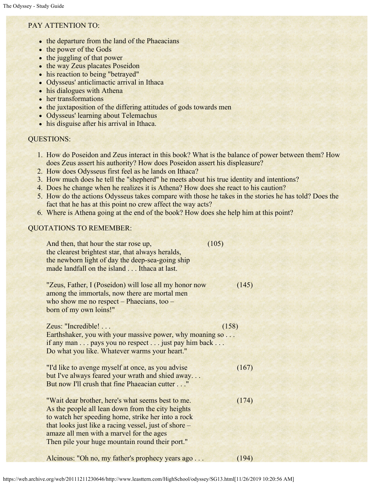## PAY ATTENTION TO:

- the departure from the land of the Phaeacians
- the power of the Gods
- the juggling of that power
- the way Zeus placates Poseidon
- his reaction to being "betrayed"
- Odysseus' anticlimactic arrival in Ithaca
- his dialogues with Athena
- her transformations
- the juxtaposition of the differing attitudes of gods towards men
- Odysseus' learning about Telemachus
- his disguise after his arrival in Ithaca.

### QUESTIONS:

- 1. How do Poseidon and Zeus interact in this book? What is the balance of power between them? How does Zeus assert his authority? How does Poseidon assert his displeasure?
- 2. How does Odysseus first feel as he lands on Ithaca?
- 3. How much does he tell the "shepherd" he meets about his true identity and intentions?
- 4. Does he change when he realizes it is Athena? How does she react to his caution?
- 5. How do the actions Odysseus takes compare with those he takes in the stories he has told? Does the fact that he has at this point no crew affect the way acts?
- 6. Where is Athena going at the end of the book? How does she help him at this point?

### QUOTATIONS TO REMEMBER:

| And then, that hour the star rose up,<br>the clearest brightest star, that always heralds,<br>the newborn light of day the deep-sea-going ship<br>made landfall on the island Ithaca at last.                                                                                                                        | (105) |
|----------------------------------------------------------------------------------------------------------------------------------------------------------------------------------------------------------------------------------------------------------------------------------------------------------------------|-------|
| "Zeus, Father, I (Poseidon) will lose all my honor now<br>among the immortals, now there are mortal men<br>who show me no respect – Phaecians, too –<br>born of my own loins!"                                                                                                                                       | (145) |
| Zeus: "Incredible!                                                                                                                                                                                                                                                                                                   | (158) |
| Earthshaker, you with your massive power, why moaning so<br>if any man pays you no respect just pay him back<br>Do what you like. Whatever warms your heart."                                                                                                                                                        |       |
| "I'd like to avenge myself at once, as you advise<br>but I've always feared your wrath and shied away<br>But now I'll crush that fine Phaeacian cutter"                                                                                                                                                              | (167) |
| "Wait dear brother, here's what seems best to me.<br>As the people all lean down from the city heights<br>to watch her speeding home, strike her into a rock<br>that looks just like a racing vessel, just of shore –<br>amaze all men with a marvel for the ages<br>Then pile your huge mountain round their port." | (174) |
| Alcinous: "Oh no, my father's prophecy years ago                                                                                                                                                                                                                                                                     | (194) |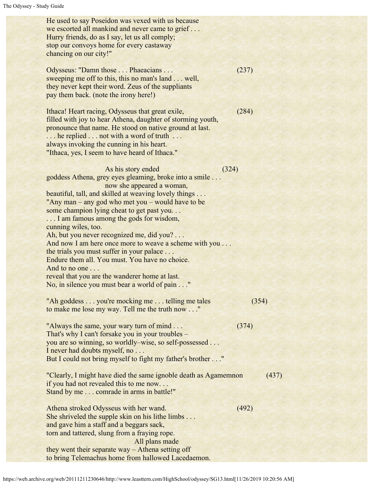He used to say Poseidon was vexed with us because we escorted all mankind and never came to grief . . . Hurry friends, do as I say, let us all comply; stop our convoys home for every castaway chancing on our city!" Odysseus: "Damn those . . . Phaeacians . . . (237) sweeping me off to this, this no man's land . . . well, they never kept their word. Zeus of the suppliants pay them back. (note the irony here!) Ithaca! Heart racing, Odysseus that great exile, (284) filled with joy to hear Athena, daughter of storming youth, pronounce that name. He stood on native ground at last. ... he replied ... not with a word of truth ... always invoking the cunning in his heart. "Ithaca, yes, I seem to have heard of Ithaca." As his story ended (324) goddess Athena, grey eyes gleaming, broke into a smile . . . now she appeared a woman, beautiful, tall, and skilled at weaving lovely things . . . "Any man – any god who met you – would have to be some champion lying cheat to get past you. . . ... I am famous among the gods for wisdom, cunning wiles, too. Ah, but you never recognized me, did you? . . . And now I am here once more to weave a scheme with you . . . the trials you must suffer in your palace . . . Endure them all. You must. You have no choice. And to no one . . . reveal that you are the wanderer home at last. No, in silence you must bear a world of pain . . ." "Ah goddess . . . you're mocking me . . . telling me tales (354) to make me lose my way. Tell me the truth now . . ." "Always the same, your wary turn of mind . . . (374) That's why I can't forsake you in your troubles – you are so winning, so worldly–wise, so self-possessed . . . I never had doubts myself, no . . . But I could not bring myself to fight my father's brother . . ." "Clearly, I might have died the same ignoble death as Agamemnon (437) if you had not revealed this to me now. . . Stand by me . . . comrade in arms in battle!" Athena stroked Odysseus with her wand. (492) She shriveled the supple skin on his lithe limbs . . . and gave him a staff and a beggars sack, torn and tattered, slung from a fraying rope. All plans made they went their separate way – Athena setting off to bring Telemachus home from hallowed Lacedaemon.